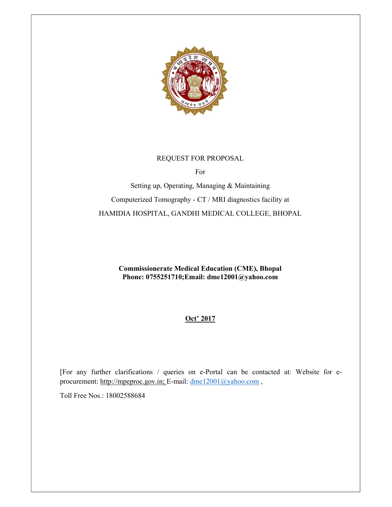

## REQUEST FOR PROPOSAL

For

Setting up, Operating, Managing & Maintaining Computerized Tomography - CT / MRI diagnostics facility at HAMIDIA HOSPITAL, GANDHI MEDICAL COLLEGE, BHOPAL

Commissionerate Medical Education (CME), Bhopal Phone: 0755251710;Email: dme12001@yahoo.com

# Oct' 2017

[For any further clarifications / queries on e-Portal can be contacted at: Website for eprocurement: http://mpeproc.gov.in; E-mail: dme12001@yahoo.com,

Toll Free Nos.: 18002588684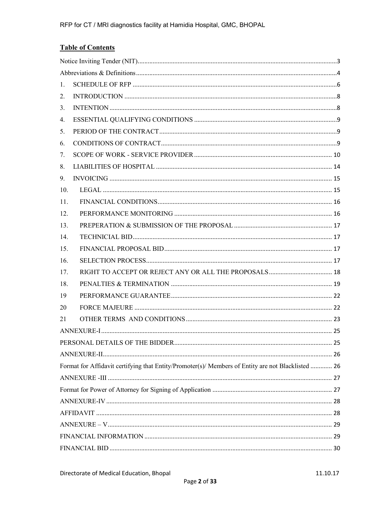| 1.  |                                                                                                    |    |  |  |
|-----|----------------------------------------------------------------------------------------------------|----|--|--|
| 2.  |                                                                                                    |    |  |  |
| 3.  |                                                                                                    |    |  |  |
| 4.  |                                                                                                    |    |  |  |
| 5.  |                                                                                                    |    |  |  |
| 6.  |                                                                                                    |    |  |  |
| 7.  |                                                                                                    |    |  |  |
| 8.  |                                                                                                    |    |  |  |
| 9.  |                                                                                                    |    |  |  |
| 10. |                                                                                                    |    |  |  |
| 11. |                                                                                                    |    |  |  |
| 12. |                                                                                                    |    |  |  |
| 13. |                                                                                                    |    |  |  |
| 14. |                                                                                                    |    |  |  |
| 15. |                                                                                                    |    |  |  |
| 16. |                                                                                                    |    |  |  |
| 17. |                                                                                                    |    |  |  |
| 18. |                                                                                                    |    |  |  |
| 19  |                                                                                                    |    |  |  |
| 20  |                                                                                                    |    |  |  |
| 21  |                                                                                                    |    |  |  |
|     |                                                                                                    |    |  |  |
|     | PERSONAL DETAILS OF THE BIDDER                                                                     | 25 |  |  |
|     |                                                                                                    |    |  |  |
|     | Format for Affidavit certifying that Entity/Promoter(s)/ Members of Entity are not Blacklisted  26 |    |  |  |
|     |                                                                                                    |    |  |  |
|     |                                                                                                    |    |  |  |
|     |                                                                                                    |    |  |  |
|     |                                                                                                    |    |  |  |
|     |                                                                                                    |    |  |  |
|     |                                                                                                    |    |  |  |
|     |                                                                                                    |    |  |  |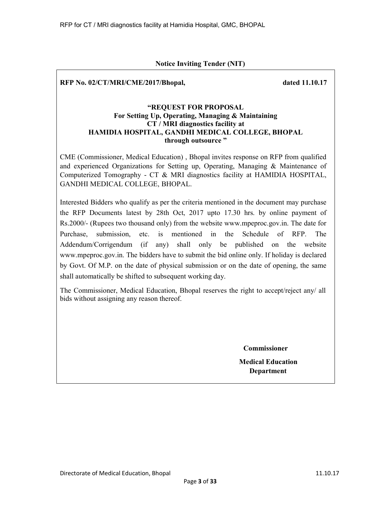#### Notice Inviting Tender (NIT)

## RFP No. 02/CT/MRI/CME/2017/Bhopal, dated 11.10.17

#### "REQUEST FOR PROPOSAL For Setting Up, Operating, Managing & Maintaining CT / MRI diagnostics facility at HAMIDIA HOSPITAL, GANDHI MEDICAL COLLEGE, BHOPAL through outsource "

CME (Commissioner, Medical Education) , Bhopal invites response on RFP from qualified and experienced Organizations for Setting up, Operating, Managing & Maintenance of Computerized Tomography - CT & MRI diagnostics facility at HAMIDIA HOSPITAL, GANDHI MEDICAL COLLEGE, BHOPAL.

Interested Bidders who qualify as per the criteria mentioned in the document may purchase the RFP Documents latest by 28th Oct, 2017 upto 17.30 hrs. by online payment of Rs.2000/- (Rupees two thousand only) from the website www.mpeproc.gov.in. The date for Purchase, submission, etc. is mentioned in the Schedule of RFP. The Addendum/Corrigendum (if any) shall only be published on the website www.mpeproc.gov.in. The bidders have to submit the bid online only. If holiday is declared by Govt. Of M.P. on the date of physical submission or on the date of opening, the same shall automatically be shifted to subsequent working day.

The Commissioner, Medical Education, Bhopal reserves the right to accept/reject any/ all bids without assigning any reason thereof.

Commissioner

Medical Education Department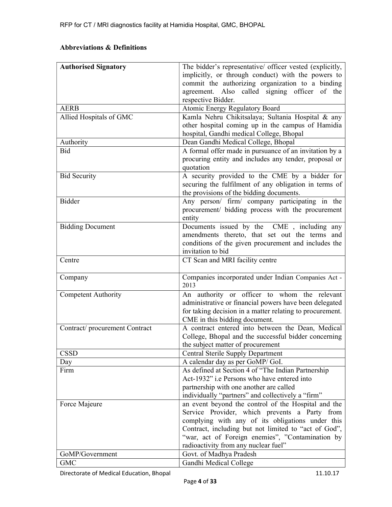# Abbreviations & Definitions

| <b>Authorised Signatory</b>   | The bidder's representative/ officer vested (explicitly, |  |  |
|-------------------------------|----------------------------------------------------------|--|--|
|                               | implicitly, or through conduct) with the powers to       |  |  |
|                               | commit the authorizing organization to a binding         |  |  |
|                               | agreement. Also called signing officer of the            |  |  |
|                               | respective Bidder.                                       |  |  |
| <b>AERB</b>                   | Atomic Energy Regulatory Board                           |  |  |
| Allied Hospitals of GMC       | Kamla Nehru Chikitsalaya; Sultania Hospital & any        |  |  |
|                               | other hospital coming up in the campus of Hamidia        |  |  |
|                               | hospital, Gandhi medical College, Bhopal                 |  |  |
|                               | Dean Gandhi Medical College, Bhopal                      |  |  |
| Authority<br>Bid              | A formal offer made in pursuance of an invitation by a   |  |  |
|                               | procuring entity and includes any tender, proposal or    |  |  |
|                               |                                                          |  |  |
|                               | quotation                                                |  |  |
| <b>Bid Security</b>           | A security provided to the CME by a bidder for           |  |  |
|                               | securing the fulfilment of any obligation in terms of    |  |  |
|                               | the provisions of the bidding documents.                 |  |  |
| Bidder                        | Any person/ firm/ company participating in the           |  |  |
|                               | procurement/ bidding process with the procurement        |  |  |
|                               | entity                                                   |  |  |
| <b>Bidding Document</b>       | Documents issued by the CME, including any               |  |  |
|                               | amendments thereto, that set out the terms and           |  |  |
|                               | conditions of the given procurement and includes the     |  |  |
|                               | invitation to bid                                        |  |  |
| Centre                        | CT Scan and MRI facility centre                          |  |  |
|                               |                                                          |  |  |
| Company                       | Companies incorporated under Indian Companies Act -      |  |  |
|                               | 2013                                                     |  |  |
| <b>Competent Authority</b>    | An authority or officer to whom the relevant             |  |  |
|                               | administrative or financial powers have been delegated   |  |  |
|                               | for taking decision in a matter relating to procurement. |  |  |
|                               | CME in this bidding document.                            |  |  |
| Contract/procurement Contract | A contract entered into between the Dean, Medical        |  |  |
|                               | College, Bhopal and the successful bidder concerning     |  |  |
|                               | the subject matter of procurement                        |  |  |
| <b>CSSD</b>                   | <b>Central Sterile Supply Department</b>                 |  |  |
| Day                           | A calendar day as per GoMP/ GoI.                         |  |  |
| Firm                          | As defined at Section 4 of "The Indian Partnership       |  |  |
|                               | Act-1932" <i>i.e</i> Persons who have entered into       |  |  |
|                               | partnership with one another are called                  |  |  |
|                               | individually "partners" and collectively a "firm"        |  |  |
| Force Majeure                 | an event beyond the control of the Hospital and the      |  |  |
|                               | Service Provider, which prevents a Party from            |  |  |
|                               | complying with any of its obligations under this         |  |  |
|                               | Contract, including but not limited to "act of God",     |  |  |
|                               | "war, act of Foreign enemies", "Contamination by         |  |  |
|                               | radioactivity from any nuclear fuel"                     |  |  |
| GoMP/Government               | Govt. of Madhya Pradesh                                  |  |  |
|                               | Gandhi Medical College                                   |  |  |

Directorate of Medical Education, Bhopal 11.10.17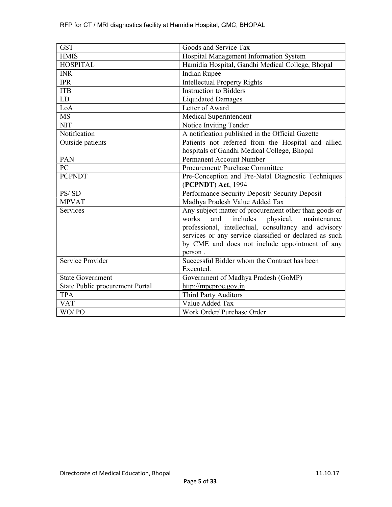| <b>GST</b>                                                     | Goods and Service Tax                                  |  |  |
|----------------------------------------------------------------|--------------------------------------------------------|--|--|
| <b>HMIS</b>                                                    | Hospital Management Information System                 |  |  |
| <b>HOSPITAL</b>                                                | Hamidia Hospital, Gandhi Medical College, Bhopal       |  |  |
| <b>INR</b>                                                     | <b>Indian Rupee</b>                                    |  |  |
| <b>IPR</b>                                                     | <b>Intellectual Property Rights</b>                    |  |  |
| <b>ITB</b>                                                     | <b>Instruction to Bidders</b>                          |  |  |
| LD                                                             | Liquidated Damages                                     |  |  |
| LoA                                                            | Letter of Award                                        |  |  |
| <b>MS</b>                                                      | Medical Superintendent                                 |  |  |
| <b>NIT</b>                                                     | Notice Inviting Tender                                 |  |  |
| Notification                                                   | A notification published in the Official Gazette       |  |  |
| Outside patients                                               | Patients not referred from the Hospital and allied     |  |  |
|                                                                | hospitals of Gandhi Medical College, Bhopal            |  |  |
| PAN                                                            | <b>Permanent Account Number</b>                        |  |  |
| PC                                                             | Procurement/ Purchase Committee                        |  |  |
| <b>PCPNDT</b>                                                  | Pre-Conception and Pre-Natal Diagnostic Techniques     |  |  |
|                                                                | (PCPNDT) Act, 1994                                     |  |  |
| PS/SD                                                          | Performance Security Deposit/ Security Deposit         |  |  |
| <b>MPVAT</b>                                                   | Madhya Pradesh Value Added Tax                         |  |  |
| Services                                                       | Any subject matter of procurement other than goods or  |  |  |
|                                                                | includes<br>works<br>and<br>physical,<br>maintenance,  |  |  |
|                                                                | professional, intellectual, consultancy and advisory   |  |  |
|                                                                | services or any service classified or declared as such |  |  |
|                                                                | by CME and does not include appointment of any         |  |  |
|                                                                | person.                                                |  |  |
| Service Provider                                               | Successful Bidder whom the Contract has been           |  |  |
|                                                                | Executed.                                              |  |  |
| <b>State Government</b><br>Government of Madhya Pradesh (GoMP) |                                                        |  |  |
| State Public procurement Portal                                | http://mpeproc.gov.in                                  |  |  |
| <b>TPA</b>                                                     | <b>Third Party Auditors</b>                            |  |  |
| <b>VAT</b>                                                     | Value Added Tax                                        |  |  |
| WO/PO                                                          | Work Order/ Purchase Order                             |  |  |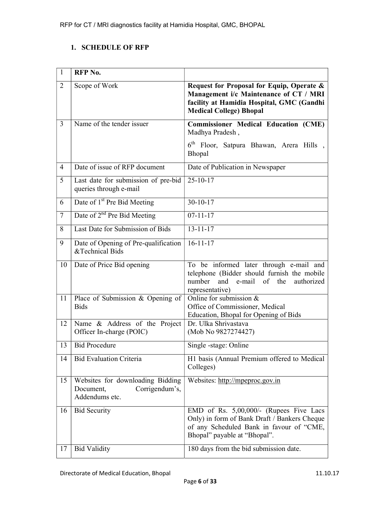# 1. SCHEDULE OF RFP

| $\mathbf{1}$   | RFP No.                                                                           |                                                                                                                                                                     |
|----------------|-----------------------------------------------------------------------------------|---------------------------------------------------------------------------------------------------------------------------------------------------------------------|
| $\overline{2}$ | Scope of Work                                                                     | Request for Proposal for Equip, Operate &<br>Management i/c Maintenance of CT / MRI<br>facility at Hamidia Hospital, GMC (Gandhi<br><b>Medical College) Bhopal</b>  |
| $\overline{3}$ | Name of the tender issuer                                                         | <b>Commissioner Medical Education (CME)</b><br>Madhya Pradesh,                                                                                                      |
|                |                                                                                   | 6 <sup>th</sup> Floor, Satpura Bhawan, Arera Hills,<br>Bhopal                                                                                                       |
| $\overline{4}$ | Date of issue of RFP document                                                     | Date of Publication in Newspaper                                                                                                                                    |
| 5              | Last date for submission of pre-bid<br>queries through e-mail                     | $25 - 10 - 17$                                                                                                                                                      |
| 6              | Date of 1 <sup>st</sup> Pre Bid Meeting                                           | $30-10-17$                                                                                                                                                          |
| $\overline{7}$ | Date of 2 <sup>nd</sup> Pre Bid Meeting                                           | $07 - 11 - 17$                                                                                                                                                      |
| 8              | Last Date for Submission of Bids                                                  | $13 - 11 - 17$                                                                                                                                                      |
| 9              | Date of Opening of Pre-qualification<br>&Technical Bids                           | $16-11-17$                                                                                                                                                          |
| 10             | Date of Price Bid opening                                                         | To be informed later through e-mail and<br>telephone (Bidder should furnish the mobile<br>number<br>and e-mail of the authorized<br>representative)                 |
| 11             | Place of Submission & Opening of<br><b>Bids</b>                                   | Online for submission $&$<br>Office of Commissioner, Medical<br>Education, Bhopal for Opening of Bids                                                               |
| 12             | Name & Address of the Project<br>Officer In-charge (POIC)                         | Dr. Ulka Shrivastava<br>(Mob No 9827274427)                                                                                                                         |
| 13             | <b>Bid Procedure</b>                                                              | Single -stage: Online                                                                                                                                               |
| 14             | <b>Bid Evaluation Criteria</b>                                                    | H1 basis (Annual Premium offered to Medical<br>Colleges)                                                                                                            |
| 15             | Websites for downloading Bidding<br>Corrigendum's,<br>Document,<br>Addendums etc. | Websites: http://mpeproc.gov.in                                                                                                                                     |
| 16             | <b>Bid Security</b>                                                               | EMD of Rs. 5,00,000/- (Rupees Five Lacs<br>Only) in form of Bank Draft / Bankers Cheque<br>of any Scheduled Bank in favour of "CME,<br>Bhopal" payable at "Bhopal". |
| 17             | <b>Bid Validity</b>                                                               | 180 days from the bid submission date.                                                                                                                              |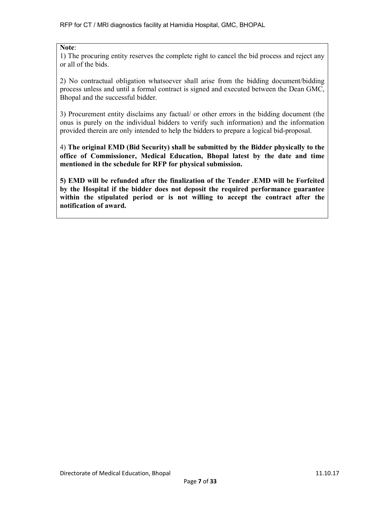# Note:

1) The procuring entity reserves the complete right to cancel the bid process and reject any or all of the bids.

2) No contractual obligation whatsoever shall arise from the bidding document/bidding process unless and until a formal contract is signed and executed between the Dean GMC, Bhopal and the successful bidder.

3) Procurement entity disclaims any factual/ or other errors in the bidding document (the onus is purely on the individual bidders to verify such information) and the information provided therein are only intended to help the bidders to prepare a logical bid-proposal.

4) The original EMD (Bid Security) shall be submitted by the Bidder physically to the office of Commissioner, Medical Education, Bhopal latest by the date and time mentioned in the schedule for RFP for physical submission.

5) EMD will be refunded after the finalization of the Tender .EMD will be Forfeited by the Hospital if the bidder does not deposit the required performance guarantee within the stipulated period or is not willing to accept the contract after the notification of award.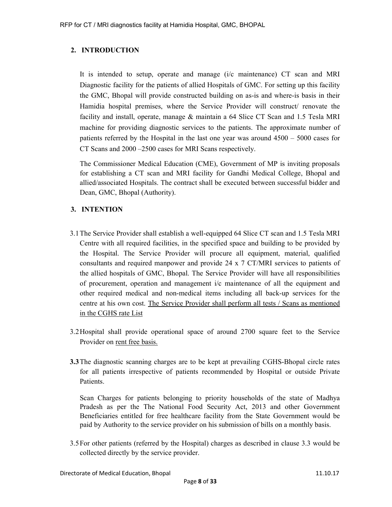# 2. INTRODUCTION

It is intended to setup, operate and manage (i/c maintenance) CT scan and MRI Diagnostic facility for the patients of allied Hospitals of GMC. For setting up this facility the GMC, Bhopal will provide constructed building on as-is and where-is basis in their Hamidia hospital premises, where the Service Provider will construct/ renovate the facility and install, operate, manage & maintain a 64 Slice CT Scan and 1.5 Tesla MRI machine for providing diagnostic services to the patients. The approximate number of patients referred by the Hospital in the last one year was around 4500 – 5000 cases for CT Scans and 2000 –2500 cases for MRI Scans respectively.

The Commissioner Medical Education (CME), Government of MP is inviting proposals for establishing a CT scan and MRI facility for Gandhi Medical College, Bhopal and allied/associated Hospitals. The contract shall be executed between successful bidder and Dean, GMC, Bhopal (Authority).

# 3. INTENTION

- 3.1The Service Provider shall establish a well-equipped 64 Slice CT scan and 1.5 Tesla MRI Centre with all required facilities, in the specified space and building to be provided by the Hospital. The Service Provider will procure all equipment, material, qualified consultants and required manpower and provide 24 x 7 CT/MRI services to patients of the allied hospitals of GMC, Bhopal. The Service Provider will have all responsibilities of procurement, operation and management i/c maintenance of all the equipment and other required medical and non-medical items including all back-up services for the centre at his own cost. The Service Provider shall perform all tests / Scans as mentioned in the CGHS rate List
- 3.2Hospital shall provide operational space of around 2700 square feet to the Service Provider on rent free basis.
- 3.3The diagnostic scanning charges are to be kept at prevailing CGHS-Bhopal circle rates for all patients irrespective of patients recommended by Hospital or outside Private Patients.

Scan Charges for patients belonging to priority households of the state of Madhya Pradesh as per the The National Food Security Act, 2013 and other Government Beneficiaries entitled for free healthcare facility from the State Government would be paid by Authority to the service provider on his submission of bills on a monthly basis.

3.5For other patients (referred by the Hospital) charges as described in clause 3.3 would be collected directly by the service provider.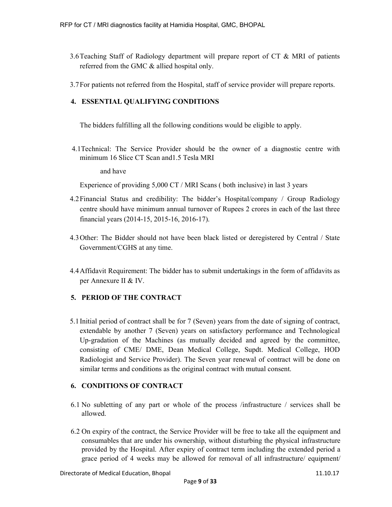- 3.6Teaching Staff of Radiology department will prepare report of CT & MRI of patients referred from the GMC & allied hospital only.
- 3.7For patients not referred from the Hospital, staff of service provider will prepare reports.

# 4. ESSENTIAL QUALIFYING CONDITIONS

The bidders fulfilling all the following conditions would be eligible to apply.

4.1Technical: The Service Provider should be the owner of a diagnostic centre with minimum 16 Slice CT Scan and1.5 Tesla MRI

and have

Experience of providing 5,000 CT / MRI Scans ( both inclusive) in last 3 years

- 4.2Financial Status and credibility: The bidder's Hospital/company / Group Radiology centre should have minimum annual turnover of Rupees 2 crores in each of the last three financial years (2014-15, 2015-16, 2016-17).
- 4.3Other: The Bidder should not have been black listed or deregistered by Central / State Government/CGHS at any time.
- 4.4Affidavit Requirement: The bidder has to submit undertakings in the form of affidavits as per Annexure II & IV.

# 5. PERIOD OF THE CONTRACT

5.1Initial period of contract shall be for 7 (Seven) years from the date of signing of contract, extendable by another 7 (Seven) years on satisfactory performance and Technological Up-gradation of the Machines (as mutually decided and agreed by the committee, consisting of CME/ DME, Dean Medical College, Supdt. Medical College, HOD Radiologist and Service Provider). The Seven year renewal of contract will be done on similar terms and conditions as the original contract with mutual consent.

# 6. CONDITIONS OF CONTRACT

- 6.1 No subletting of any part or whole of the process /infrastructure / services shall be allowed.
- 6.2 On expiry of the contract, the Service Provider will be free to take all the equipment and consumables that are under his ownership, without disturbing the physical infrastructure provided by the Hospital. After expiry of contract term including the extended period a grace period of 4 weeks may be allowed for removal of all infrastructure/ equipment/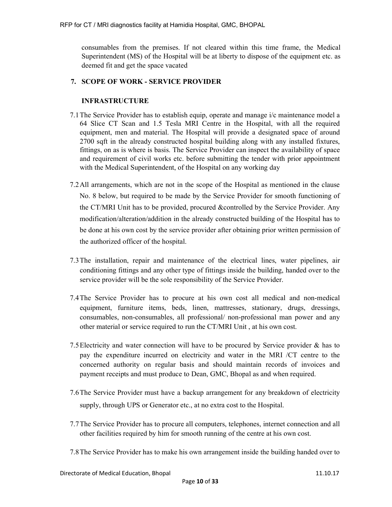consumables from the premises. If not cleared within this time frame, the Medical Superintendent (MS) of the Hospital will be at liberty to dispose of the equipment etc. as deemed fit and get the space vacated

# 7. SCOPE OF WORK - SERVICE PROVIDER

# INFRASTRUCTURE

- 7.1The Service Provider has to establish equip, operate and manage i/c maintenance model a 64 Slice CT Scan and 1.5 Tesla MRI Centre in the Hospital, with all the required equipment, men and material. The Hospital will provide a designated space of around 2700 sqft in the already constructed hospital building along with any installed fixtures, fittings, on as is where is basis. The Service Provider can inspect the availability of space and requirement of civil works etc. before submitting the tender with prior appointment with the Medical Superintendent, of the Hospital on any working day
- 7.2All arrangements, which are not in the scope of the Hospital as mentioned in the clause No. 8 below, but required to be made by the Service Provider for smooth functioning of the CT/MRI Unit has to be provided, procured &controlled by the Service Provider. Any modification/alteration/addition in the already constructed building of the Hospital has to be done at his own cost by the service provider after obtaining prior written permission of the authorized officer of the hospital.
- 7.3The installation, repair and maintenance of the electrical lines, water pipelines, air conditioning fittings and any other type of fittings inside the building, handed over to the service provider will be the sole responsibility of the Service Provider.
- 7.4The Service Provider has to procure at his own cost all medical and non-medical equipment, furniture items, beds, linen, mattresses, stationary, drugs, dressings, consumables, non-consumables, all professional/ non-professional man power and any other material or service required to run the CT/MRI Unit , at his own cost.
- 7.5Electricity and water connection will have to be procured by Service provider & has to pay the expenditure incurred on electricity and water in the MRI /CT centre to the concerned authority on regular basis and should maintain records of invoices and payment receipts and must produce to Dean, GMC, Bhopal as and when required.
- 7.6The Service Provider must have a backup arrangement for any breakdown of electricity supply, through UPS or Generator etc., at no extra cost to the Hospital.
- 7.7The Service Provider has to procure all computers, telephones, internet connection and all other facilities required by him for smooth running of the centre at his own cost.
- 7.8The Service Provider has to make his own arrangement inside the building handed over to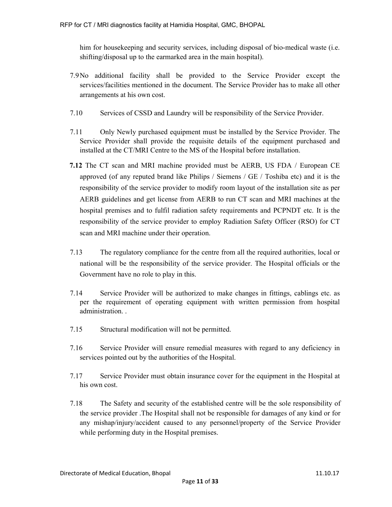him for housekeeping and security services, including disposal of bio-medical waste (i.e. shifting/disposal up to the earmarked area in the main hospital).

- 7.9No additional facility shall be provided to the Service Provider except the services/facilities mentioned in the document. The Service Provider has to make all other arrangements at his own cost.
- 7.10 Services of CSSD and Laundry will be responsibility of the Service Provider.
- 7.11 Only Newly purchased equipment must be installed by the Service Provider. The Service Provider shall provide the requisite details of the equipment purchased and installed at the CT/MRI Centre to the MS of the Hospital before installation.
- 7.12 The CT scan and MRI machine provided must be AERB, US FDA / European CE approved (of any reputed brand like Philips / Siemens / GE / Toshiba etc) and it is the responsibility of the service provider to modify room layout of the installation site as per AERB guidelines and get license from AERB to run CT scan and MRI machines at the hospital premises and to fulfil radiation safety requirements and PCPNDT etc. It is the responsibility of the service provider to employ Radiation Safety Officer (RSO) for CT scan and MRI machine under their operation.
- 7.13 The regulatory compliance for the centre from all the required authorities, local or national will be the responsibility of the service provider. The Hospital officials or the Government have no role to play in this.
- 7.14 Service Provider will be authorized to make changes in fittings, cablings etc. as per the requirement of operating equipment with written permission from hospital administration. .
- 7.15 Structural modification will not be permitted.
- 7.16 Service Provider will ensure remedial measures with regard to any deficiency in services pointed out by the authorities of the Hospital.
- 7.17 Service Provider must obtain insurance cover for the equipment in the Hospital at his own cost.
- 7.18 The Safety and security of the established centre will be the sole responsibility of the service provider .The Hospital shall not be responsible for damages of any kind or for any mishap/injury/accident caused to any personnel/property of the Service Provider while performing duty in the Hospital premises.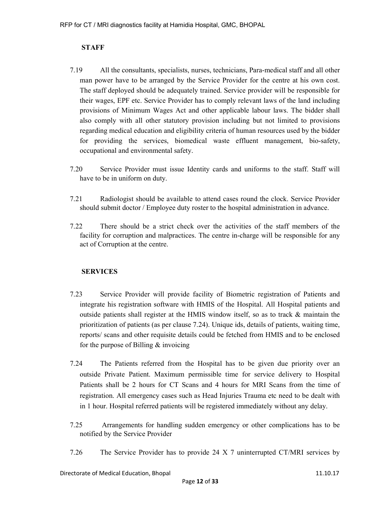# **STAFF**

- 7.19 All the consultants, specialists, nurses, technicians, Para-medical staff and all other man power have to be arranged by the Service Provider for the centre at his own cost. The staff deployed should be adequately trained. Service provider will be responsible for their wages, EPF etc. Service Provider has to comply relevant laws of the land including provisions of Minimum Wages Act and other applicable labour laws. The bidder shall also comply with all other statutory provision including but not limited to provisions regarding medical education and eligibility criteria of human resources used by the bidder for providing the services, biomedical waste effluent management, bio-safety, occupational and environmental safety.
- 7.20 Service Provider must issue Identity cards and uniforms to the staff. Staff will have to be in uniform on duty.
- 7.21 Radiologist should be available to attend cases round the clock. Service Provider should submit doctor / Employee duty roster to the hospital administration in advance.
- 7.22 There should be a strict check over the activities of the staff members of the facility for corruption and malpractices. The centre in-charge will be responsible for any act of Corruption at the centre.

# SERVICES

- 7.23 Service Provider will provide facility of Biometric registration of Patients and integrate his registration software with HMIS of the Hospital. All Hospital patients and outside patients shall register at the HMIS window itself, so as to track & maintain the prioritization of patients (as per clause 7.24). Unique ids, details of patients, waiting time, reports/ scans and other requisite details could be fetched from HMIS and to be enclosed for the purpose of Billing & invoicing
- 7.24 The Patients referred from the Hospital has to be given due priority over an outside Private Patient. Maximum permissible time for service delivery to Hospital Patients shall be 2 hours for CT Scans and 4 hours for MRI Scans from the time of registration. All emergency cases such as Head Injuries Trauma etc need to be dealt with in 1 hour. Hospital referred patients will be registered immediately without any delay.
- 7.25 Arrangements for handling sudden emergency or other complications has to be notified by the Service Provider
- 7.26 The Service Provider has to provide 24 X 7 uninterrupted CT/MRI services by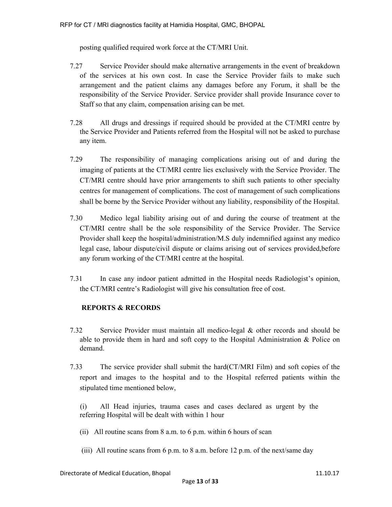posting qualified required work force at the CT/MRI Unit.

- 7.27 Service Provider should make alternative arrangements in the event of breakdown of the services at his own cost. In case the Service Provider fails to make such arrangement and the patient claims any damages before any Forum, it shall be the responsibility of the Service Provider. Service provider shall provide Insurance cover to Staff so that any claim, compensation arising can be met.
- 7.28 All drugs and dressings if required should be provided at the CT/MRI centre by the Service Provider and Patients referred from the Hospital will not be asked to purchase any item.
- 7.29 The responsibility of managing complications arising out of and during the imaging of patients at the CT/MRI centre lies exclusively with the Service Provider. The CT/MRI centre should have prior arrangements to shift such patients to other specialty centres for management of complications. The cost of management of such complications shall be borne by the Service Provider without any liability, responsibility of the Hospital.
- 7.30 Medico legal liability arising out of and during the course of treatment at the CT/MRI centre shall be the sole responsibility of the Service Provider. The Service Provider shall keep the hospital/administration/M.S duly indemnified against any medico legal case, labour dispute/civil dispute or claims arising out of services provided,before any forum working of the CT/MRI centre at the hospital.
- 7.31 In case any indoor patient admitted in the Hospital needs Radiologist's opinion, the CT/MRI centre's Radiologist will give his consultation free of cost.

# REPORTS & RECORDS

- 7.32 Service Provider must maintain all medico-legal & other records and should be able to provide them in hard and soft copy to the Hospital Administration  $\&$  Police on demand.
- 7.33 The service provider shall submit the hard(CT/MRI Film) and soft copies of the report and images to the hospital and to the Hospital referred patients within the stipulated time mentioned below,
	- (i) All Head injuries, trauma cases and cases declared as urgent by the referring Hospital will be dealt with within 1 hour
	- (ii) All routine scans from 8 a.m. to 6 p.m. within 6 hours of scan
	- (iii) All routine scans from 6 p.m. to 8 a.m. before 12 p.m. of the next/same day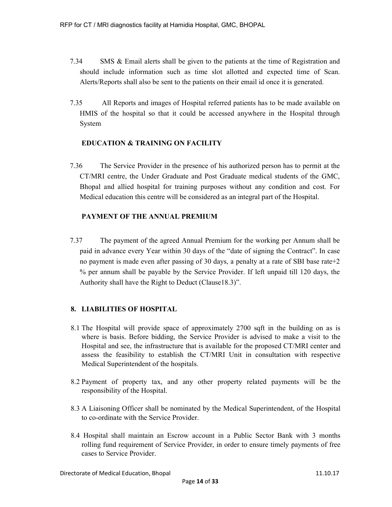- 7.34 SMS & Email alerts shall be given to the patients at the time of Registration and should include information such as time slot allotted and expected time of Scan. Alerts/Reports shall also be sent to the patients on their email id once it is generated.
- 7.35 All Reports and images of Hospital referred patients has to be made available on HMIS of the hospital so that it could be accessed anywhere in the Hospital through System

# EDUCATION & TRAINING ON FACILITY

7.36 The Service Provider in the presence of his authorized person has to permit at the CT/MRI centre, the Under Graduate and Post Graduate medical students of the GMC, Bhopal and allied hospital for training purposes without any condition and cost. For Medical education this centre will be considered as an integral part of the Hospital.

# PAYMENT OF THE ANNUAL PREMIUM

7.37 The payment of the agreed Annual Premium for the working per Annum shall be paid in advance every Year within 30 days of the "date of signing the Contract". In case no payment is made even after passing of 30 days, a penalty at a rate of SBI base rate+2 % per annum shall be payable by the Service Provider. If left unpaid till 120 days, the Authority shall have the Right to Deduct (Clause18.3)".

# 8. LIABILITIES OF HOSPITAL

- 8.1 The Hospital will provide space of approximately 2700 sqft in the building on as is where is basis. Before bidding, the Service Provider is advised to make a visit to the Hospital and see, the infrastructure that is available for the proposed CT/MRI center and assess the feasibility to establish the CT/MRI Unit in consultation with respective Medical Superintendent of the hospitals.
- 8.2 Payment of property tax, and any other property related payments will be the responsibility of the Hospital.
- 8.3 A Liaisoning Officer shall be nominated by the Medical Superintendent, of the Hospital to co-ordinate with the Service Provider.
- 8.4 Hospital shall maintain an Escrow account in a Public Sector Bank with 3 months rolling fund requirement of Service Provider, in order to ensure timely payments of free cases to Service Provider.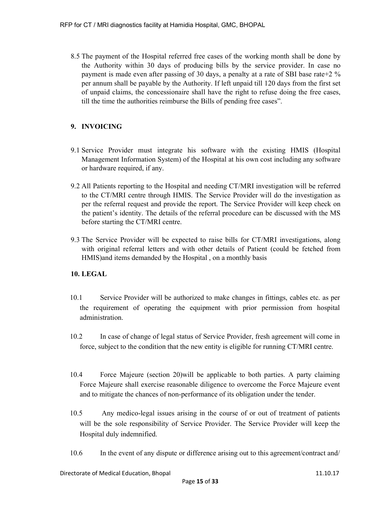8.5 The payment of the Hospital referred free cases of the working month shall be done by the Authority within 30 days of producing bills by the service provider. In case no payment is made even after passing of 30 days, a penalty at a rate of SBI base rate+2 % per annum shall be payable by the Authority. If left unpaid till 120 days from the first set of unpaid claims, the concessionaire shall have the right to refuse doing the free cases, till the time the authorities reimburse the Bills of pending free cases".

# 9. INVOICING

- 9.1 Service Provider must integrate his software with the existing HMIS (Hospital Management Information System) of the Hospital at his own cost including any software or hardware required, if any.
- 9.2 All Patients reporting to the Hospital and needing CT/MRI investigation will be referred to the CT/MRI centre through HMIS. The Service Provider will do the investigation as per the referral request and provide the report. The Service Provider will keep check on the patient's identity. The details of the referral procedure can be discussed with the MS before starting the CT/MRI centre.
- 9.3 The Service Provider will be expected to raise bills for CT/MRI investigations, along with original referral letters and with other details of Patient (could be fetched from HMIS)and items demanded by the Hospital , on a monthly basis

# 10. LEGAL

- 10.1 Service Provider will be authorized to make changes in fittings, cables etc. as per the requirement of operating the equipment with prior permission from hospital administration.
- 10.2 In case of change of legal status of Service Provider, fresh agreement will come in force, subject to the condition that the new entity is eligible for running CT/MRI centre.
- 10.4 Force Majeure (section 20)will be applicable to both parties. A party claiming Force Majeure shall exercise reasonable diligence to overcome the Force Majeure event and to mitigate the chances of non-performance of its obligation under the tender.
- 10.5 Any medico-legal issues arising in the course of or out of treatment of patients will be the sole responsibility of Service Provider. The Service Provider will keep the Hospital duly indemnified.
- 10.6 In the event of any dispute or difference arising out to this agreement/contract and/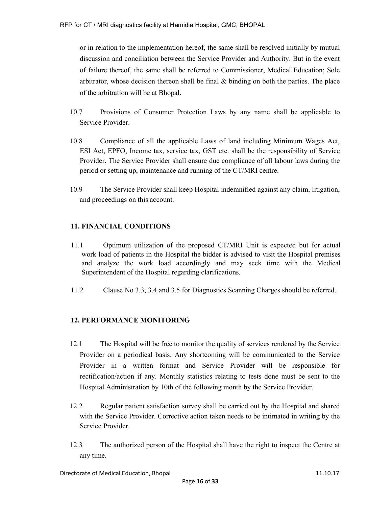or in relation to the implementation hereof, the same shall be resolved initially by mutual discussion and conciliation between the Service Provider and Authority. But in the event of failure thereof, the same shall be referred to Commissioner, Medical Education; Sole arbitrator, whose decision thereon shall be final  $\&$  binding on both the parties. The place of the arbitration will be at Bhopal.

- 10.7 Provisions of Consumer Protection Laws by any name shall be applicable to Service Provider.
- 10.8 Compliance of all the applicable Laws of land including Minimum Wages Act, ESI Act, EPFO, Income tax, service tax, GST etc. shall be the responsibility of Service Provider. The Service Provider shall ensure due compliance of all labour laws during the period or setting up, maintenance and running of the CT/MRI centre.
- 10.9 The Service Provider shall keep Hospital indemnified against any claim, litigation, and proceedings on this account.

# 11. FINANCIAL CONDITIONS

- 11.1 Optimum utilization of the proposed CT/MRI Unit is expected but for actual work load of patients in the Hospital the bidder is advised to visit the Hospital premises and analyze the work load accordingly and may seek time with the Medical Superintendent of the Hospital regarding clarifications.
- 11.2 Clause No 3.3, 3.4 and 3.5 for Diagnostics Scanning Charges should be referred.

# 12. PERFORMANCE MONITORING

- 12.1 The Hospital will be free to monitor the quality of services rendered by the Service Provider on a periodical basis. Any shortcoming will be communicated to the Service Provider in a written format and Service Provider will be responsible for rectification/action if any. Monthly statistics relating to tests done must be sent to the Hospital Administration by 10th of the following month by the Service Provider.
- 12.2 Regular patient satisfaction survey shall be carried out by the Hospital and shared with the Service Provider. Corrective action taken needs to be intimated in writing by the Service Provider.
- 12.3 The authorized person of the Hospital shall have the right to inspect the Centre at any time.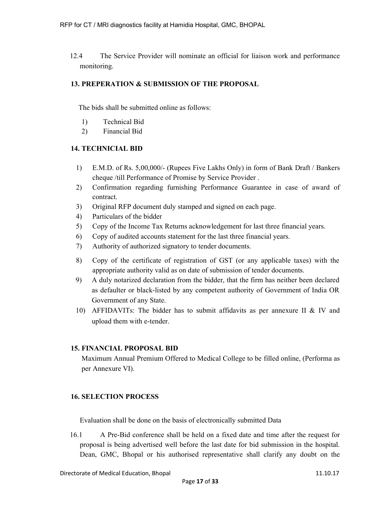12.4 The Service Provider will nominate an official for liaison work and performance monitoring.

# 13. PREPERATION & SUBMISSION OF THE PROPOSAL

The bids shall be submitted online as follows:

- 1) Technical Bid
- 2) Financial Bid

### 14. TECHNICIAL BID

- 1) E.M.D. of Rs. 5,00,000/- (Rupees Five Lakhs Only) in form of Bank Draft / Bankers cheque /till Performance of Promise by Service Provider .
- 2) Confirmation regarding furnishing Performance Guarantee in case of award of contract.
- 3) Original RFP document duly stamped and signed on each page.
- 4) Particulars of the bidder
- 5) Copy of the Income Tax Returns acknowledgement for last three financial years.
- 6) Copy of audited accounts statement for the last three financial years.
- 7) Authority of authorized signatory to tender documents.
- 8) Copy of the certificate of registration of GST (or any applicable taxes) with the appropriate authority valid as on date of submission of tender documents.
- 9) A duly notarized declaration from the bidder, that the firm has neither been declared as defaulter or black-listed by any competent authority of Government of India OR Government of any State.
- 10) AFFIDAVITs: The bidder has to submit affidavits as per annexure II & IV and upload them with e-tender.

# 15. FINANCIAL PROPOSAL BID

Maximum Annual Premium Offered to Medical College to be filled online, (Performa as per Annexure VI).

# 16. SELECTION PROCESS

Evaluation shall be done on the basis of electronically submitted Data

16.1 A Pre-Bid conference shall be held on a fixed date and time after the request for proposal is being advertised well before the last date for bid submission in the hospital. Dean, GMC, Bhopal or his authorised representative shall clarify any doubt on the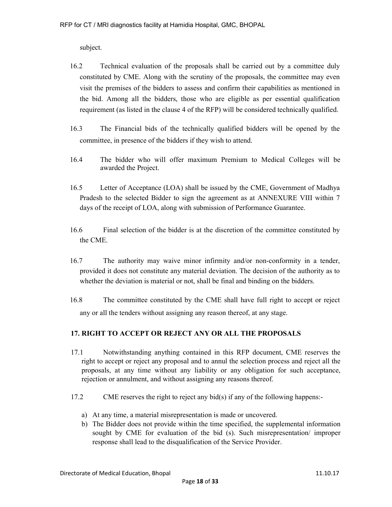subject.

- 16.2 Technical evaluation of the proposals shall be carried out by a committee duly constituted by CME. Along with the scrutiny of the proposals, the committee may even visit the premises of the bidders to assess and confirm their capabilities as mentioned in the bid. Among all the bidders, those who are eligible as per essential qualification requirement (as listed in the clause 4 of the RFP) will be considered technically qualified.
- 16.3 The Financial bids of the technically qualified bidders will be opened by the committee, in presence of the bidders if they wish to attend.
- 16.4 The bidder who will offer maximum Premium to Medical Colleges will be awarded the Project.
- 16.5 Letter of Acceptance (LOA) shall be issued by the CME, Government of Madhya Pradesh to the selected Bidder to sign the agreement as at ANNEXURE VIII within 7 days of the receipt of LOA, along with submission of Performance Guarantee.
- 16.6 Final selection of the bidder is at the discretion of the committee constituted by the CME.
- 16.7 The authority may waive minor infirmity and/or non-conformity in a tender, provided it does not constitute any material deviation. The decision of the authority as to whether the deviation is material or not, shall be final and binding on the bidders.
- 16.8 The committee constituted by the CME shall have full right to accept or reject any or all the tenders without assigning any reason thereof, at any stage.

# 17. RIGHT TO ACCEPT OR REJECT ANY OR ALL THE PROPOSALS

- 17.1 Notwithstanding anything contained in this RFP document, CME reserves the right to accept or reject any proposal and to annul the selection process and reject all the proposals, at any time without any liability or any obligation for such acceptance, rejection or annulment, and without assigning any reasons thereof.
- 17.2 CME reserves the right to reject any bid(s) if any of the following happens:
	- a) At any time, a material misrepresentation is made or uncovered.
	- b) The Bidder does not provide within the time specified, the supplemental information sought by CME for evaluation of the bid (s). Such misrepresentation/ improper response shall lead to the disqualification of the Service Provider.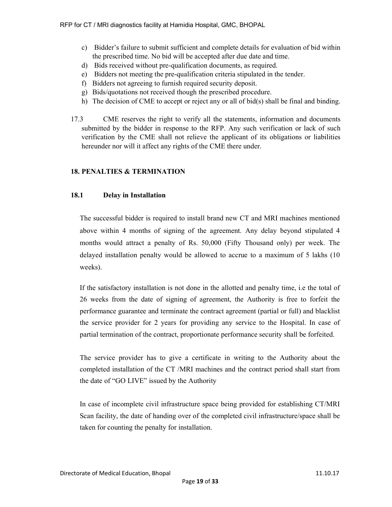- c) Bidder's failure to submit sufficient and complete details for evaluation of bid within the prescribed time. No bid will be accepted after due date and time.
- d) Bids received without pre-qualification documents, as required.
- e) Bidders not meeting the pre-qualification criteria stipulated in the tender.
- f) Bidders not agreeing to furnish required security deposit.
- g) Bids/quotations not received though the prescribed procedure.
- h) The decision of CME to accept or reject any or all of bid(s) shall be final and binding.
- 17.3 CME reserves the right to verify all the statements, information and documents submitted by the bidder in response to the RFP. Any such verification or lack of such verification by the CME shall not relieve the applicant of its obligations or liabilities hereunder nor will it affect any rights of the CME there under.

### 18. PENALTIES & TERMINATION

#### 18.1 Delay in Installation

The successful bidder is required to install brand new CT and MRI machines mentioned above within 4 months of signing of the agreement. Any delay beyond stipulated 4 months would attract a penalty of Rs. 50,000 (Fifty Thousand only) per week. The delayed installation penalty would be allowed to accrue to a maximum of 5 lakhs (10 weeks).

If the satisfactory installation is not done in the allotted and penalty time, i.e the total of 26 weeks from the date of signing of agreement, the Authority is free to forfeit the performance guarantee and terminate the contract agreement (partial or full) and blacklist the service provider for 2 years for providing any service to the Hospital. In case of partial termination of the contract, proportionate performance security shall be forfeited.

The service provider has to give a certificate in writing to the Authority about the completed installation of the CT /MRI machines and the contract period shall start from the date of "GO LIVE" issued by the Authority

In case of incomplete civil infrastructure space being provided for establishing CT/MRI Scan facility, the date of handing over of the completed civil infrastructure/space shall be taken for counting the penalty for installation.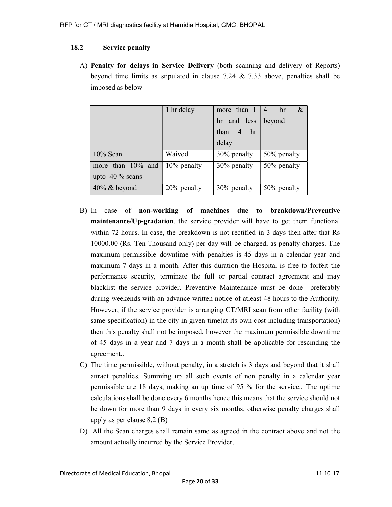# 18.2 Service penalty

A) Penalty for delays in Service Delivery (both scanning and delivery of Reports) beyond time limits as stipulated in clause 7.24 & 7.33 above, penalties shall be imposed as below

|                   | 1 hr delay     | more than 1 | $4 -$<br>hr<br>$\boldsymbol{\mathcal{X}}$ |
|-------------------|----------------|-------------|-------------------------------------------|
|                   |                | hr and less | beyond                                    |
|                   |                | than $4$ hr |                                           |
|                   |                | delay       |                                           |
| $10\%$ Scan       | Waived         | 30% penalty | 50% penalty                               |
| more than 10% and | $10\%$ penalty | 30% penalty | 50% penalty                               |
| upto $40\%$ scans |                |             |                                           |
| $40\%$ & beyond   | 20% penalty    | 30% penalty | 50% penalty                               |

- B) In case of non-working of machines due to breakdown/Preventive maintenance/Up-gradation, the service provider will have to get them functional within 72 hours. In case, the breakdown is not rectified in 3 days then after that Rs 10000.00 (Rs. Ten Thousand only) per day will be charged, as penalty charges. The maximum permissible downtime with penalties is 45 days in a calendar year and maximum 7 days in a month. After this duration the Hospital is free to forfeit the performance security, terminate the full or partial contract agreement and may blacklist the service provider. Preventive Maintenance must be done preferably during weekends with an advance written notice of atleast 48 hours to the Authority. However, if the service provider is arranging CT/MRI scan from other facility (with same specification) in the city in given time(at its own cost including transportation) then this penalty shall not be imposed, however the maximum permissible downtime of 45 days in a year and 7 days in a month shall be applicable for rescinding the agreement..
- C) The time permissible, without penalty, in a stretch is 3 days and beyond that it shall attract penalties. Summing up all such events of non penalty in a calendar year permissible are 18 days, making an up time of 95 % for the service.. The uptime calculations shall be done every 6 months hence this means that the service should not be down for more than 9 days in every six months, otherwise penalty charges shall apply as per clause 8.2 (B)
- D) All the Scan charges shall remain same as agreed in the contract above and not the amount actually incurred by the Service Provider.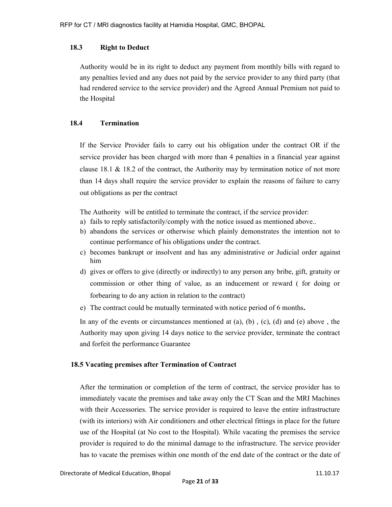#### 18.3 Right to Deduct

Authority would be in its right to deduct any payment from monthly bills with regard to any penalties levied and any dues not paid by the service provider to any third party (that had rendered service to the service provider) and the Agreed Annual Premium not paid to the Hospital

#### 18.4 Termination

If the Service Provider fails to carry out his obligation under the contract OR if the service provider has been charged with more than 4 penalties in a financial year against clause 18.1 & 18.2 of the contract, the Authority may by termination notice of not more than 14 days shall require the service provider to explain the reasons of failure to carry out obligations as per the contract

The Authority will be entitled to terminate the contract, if the service provider:

- a) fails to reply satisfactorily/comply with the notice issued as mentioned above..
- b) abandons the services or otherwise which plainly demonstrates the intention not to continue performance of his obligations under the contract.
- c) becomes bankrupt or insolvent and has any administrative or Judicial order against him
- d) gives or offers to give (directly or indirectly) to any person any bribe, gift, gratuity or commission or other thing of value, as an inducement or reward ( for doing or forbearing to do any action in relation to the contract)
- e) The contract could be mutually terminated with notice period of 6 months.

In any of the events or circumstances mentioned at (a), (b), (c), (d) and (e) above, the Authority may upon giving 14 days notice to the service provider, terminate the contract and forfeit the performance Guarantee

#### 18.5 Vacating premises after Termination of Contract

After the termination or completion of the term of contract, the service provider has to immediately vacate the premises and take away only the CT Scan and the MRI Machines with their Accessories. The service provider is required to leave the entire infrastructure (with its interiors) with Air conditioners and other electrical fittings in place for the future use of the Hospital (at No cost to the Hospital). While vacating the premises the service provider is required to do the minimal damage to the infrastructure. The service provider has to vacate the premises within one month of the end date of the contract or the date of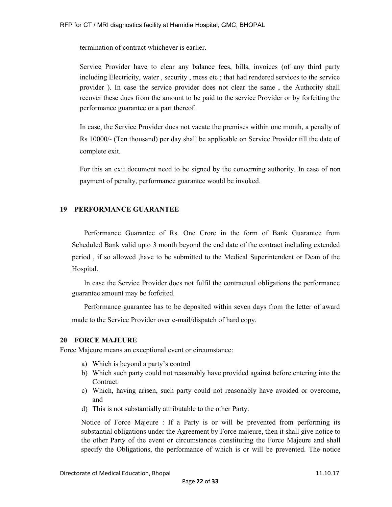termination of contract whichever is earlier.

Service Provider have to clear any balance fees, bills, invoices (of any third party including Electricity, water, security, mess etc; that had rendered services to the service provider ). In case the service provider does not clear the same , the Authority shall recover these dues from the amount to be paid to the service Provider or by forfeiting the performance guarantee or a part thereof.

In case, the Service Provider does not vacate the premises within one month, a penalty of Rs 10000/- (Ten thousand) per day shall be applicable on Service Provider till the date of complete exit.

For this an exit document need to be signed by the concerning authority. In case of non payment of penalty, performance guarantee would be invoked.

# 19 PERFORMANCE GUARANTEE

Performance Guarantee of Rs. One Crore in the form of Bank Guarantee from Scheduled Bank valid upto 3 month beyond the end date of the contract including extended period , if so allowed ,have to be submitted to the Medical Superintendent or Dean of the Hospital.

In case the Service Provider does not fulfil the contractual obligations the performance guarantee amount may be forfeited.

Performance guarantee has to be deposited within seven days from the letter of award made to the Service Provider over e-mail/dispatch of hard copy.

# 20 FORCE MAJEURE

Force Majeure means an exceptional event or circumstance:

- a) Which is beyond a party's control
- b) Which such party could not reasonably have provided against before entering into the Contract.
- c) Which, having arisen, such party could not reasonably have avoided or overcome, and
- d) This is not substantially attributable to the other Party.

Notice of Force Majeure : If a Party is or will be prevented from performing its substantial obligations under the Agreement by Force majeure, then it shall give notice to the other Party of the event or circumstances constituting the Force Majeure and shall specify the Obligations, the performance of which is or will be prevented. The notice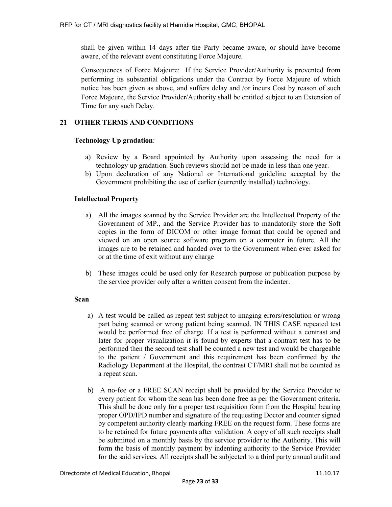shall be given within 14 days after the Party became aware, or should have become aware, of the relevant event constituting Force Majeure.

Consequences of Force Majeure: If the Service Provider/Authority is prevented from performing its substantial obligations under the Contract by Force Majeure of which notice has been given as above, and suffers delay and /or incurs Cost by reason of such Force Majeure, the Service Provider/Authority shall be entitled subject to an Extension of Time for any such Delay.

# 21 OTHER TERMS AND CONDITIONS

# Technology Up gradation:

- a) Review by a Board appointed by Authority upon assessing the need for a technology up gradation. Such reviews should not be made in less than one year.
- b) Upon declaration of any National or International guideline accepted by the Government prohibiting the use of earlier (currently installed) technology.

### Intellectual Property

- a) All the images scanned by the Service Provider are the Intellectual Property of the Government of MP., and the Service Provider has to mandatorily store the Soft copies in the form of DICOM or other image format that could be opened and viewed on an open source software program on a computer in future. All the images are to be retained and handed over to the Government when ever asked for or at the time of exit without any charge
- b) These images could be used only for Research purpose or publication purpose by the service provider only after a written consent from the indenter.

#### Scan

- a) A test would be called as repeat test subject to imaging errors/resolution or wrong part being scanned or wrong patient being scanned. IN THIS CASE repeated test would be performed free of charge. If a test is performed without a contrast and later for proper visualization it is found by experts that a contrast test has to be performed then the second test shall be counted a new test and would be chargeable to the patient / Government and this requirement has been confirmed by the Radiology Department at the Hospital, the contrast CT/MRI shall not be counted as a repeat scan.
- b) A no-fee or a FREE SCAN receipt shall be provided by the Service Provider to every patient for whom the scan has been done free as per the Government criteria. This shall be done only for a proper test requisition form from the Hospital bearing proper OPD/IPD number and signature of the requesting Doctor and counter signed by competent authority clearly marking FREE on the request form. These forms are to be retained for future payments after validation. A copy of all such receipts shall be submitted on a monthly basis by the service provider to the Authority. This will form the basis of monthly payment by indenting authority to the Service Provider for the said services. All receipts shall be subjected to a third party annual audit and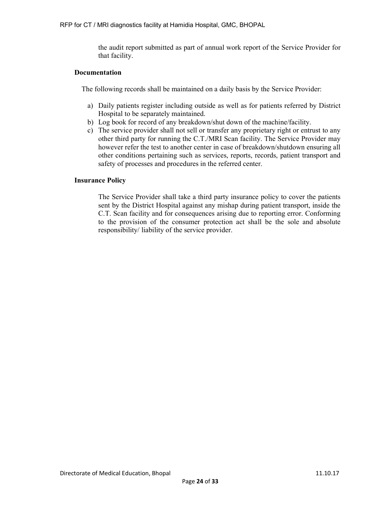the audit report submitted as part of annual work report of the Service Provider for that facility.

#### **Documentation**

The following records shall be maintained on a daily basis by the Service Provider:

- a) Daily patients register including outside as well as for patients referred by District Hospital to be separately maintained.
- b) Log book for record of any breakdown/shut down of the machine/facility.
- c) The service provider shall not sell or transfer any proprietary right or entrust to any other third party for running the C.T./MRI Scan facility. The Service Provider may however refer the test to another center in case of breakdown/shutdown ensuring all other conditions pertaining such as services, reports, records, patient transport and safety of processes and procedures in the referred center.

#### Insurance Policy

The Service Provider shall take a third party insurance policy to cover the patients sent by the District Hospital against any mishap during patient transport, inside the C.T. Scan facility and for consequences arising due to reporting error. Conforming to the provision of the consumer protection act shall be the sole and absolute responsibility/ liability of the service provider.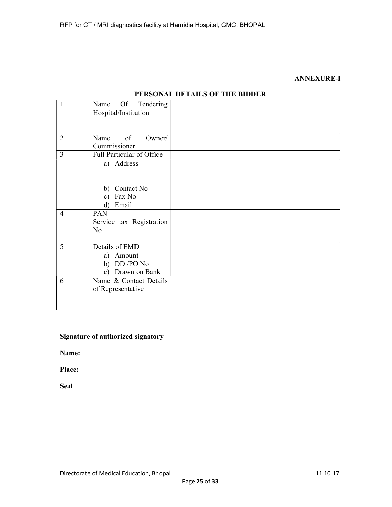#### ANNEXURE-I

 $\overline{\phantom{0}}$ 

| $\mathbf{1}$   | Of Tendering<br>Name<br>Hospital/Institution                    |  |
|----------------|-----------------------------------------------------------------|--|
| $\overline{2}$ | of<br>Owner/<br>Name<br>Commissioner                            |  |
| $\overline{3}$ | Full Particular of Office                                       |  |
|                | a) Address                                                      |  |
|                | b) Contact No<br>c) Fax No<br>d) Email                          |  |
| $\overline{4}$ | PAN<br>Service tax Registration<br>N <sub>o</sub>               |  |
| 5              | Details of EMD<br>a) Amount<br>b) DD /PO No<br>c) Drawn on Bank |  |
| 6              | Name & Contact Details<br>of Representative                     |  |

# PERSONAL DETAILS OF THE BIDDER

# Signature of authorized signatory

Name:

Place:

Seal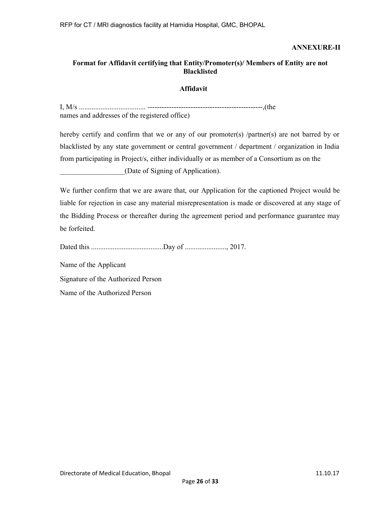#### ANNEXURE-II

# Format for Affidavit certifying that Entity/Promoter(s)/ Members of Entity are not Blacklisted

#### Affidavit

I, M/s ..................................... ------------------------------------------------,(the names and addresses of the registered office)

hereby certify and confirm that we or any of our promoter(s) /partner(s) are not barred by or blacklisted by any state government or central government / department / organization in India from participating in Project/s, either individually or as member of a Consortium as on the

(Date of Signing of Application).

We further confirm that we are aware that, our Application for the captioned Project would be liable for rejection in case any material misrepresentation is made or discovered at any stage of the Bidding Process or thereafter during the agreement period and performance guarantee may be forfeited.

Dated this ........................................Day of ......................., 2017.

Name of the Applicant

Signature of the Authorized Person

Name of the Authorized Person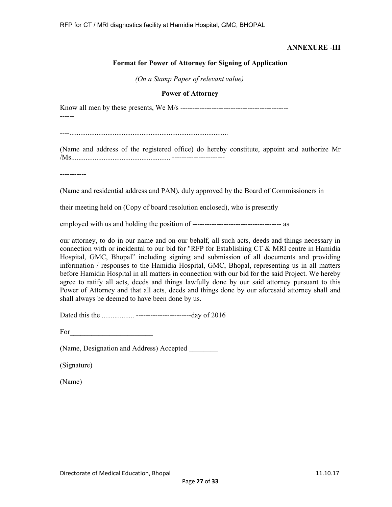## ANNEXURE -III

#### Format for Power of Attorney for Signing of Application

(On a Stamp Paper of relevant value)

#### Power of Attorney

Know all men by these presents, We M/s ---------------------------------------------

----........................................................................................

(Name and address of the registered office) do hereby constitute, appoint and authorize Mr /Ms....................................................... ----------------------

-----------

------

(Name and residential address and PAN), duly approved by the Board of Commissioners in

their meeting held on (Copy of board resolution enclosed), who is presently

employed with us and holding the position of ------------------------------------- as

our attorney, to do in our name and on our behalf, all such acts, deeds and things necessary in connection with or incidental to our bid for "RFP for Establishing CT & MRI centre in Hamidia Hospital, GMC, Bhopal" including signing and submission of all documents and providing information / responses to the Hamidia Hospital, GMC, Bhopal, representing us in all matters before Hamidia Hospital in all matters in connection with our bid for the said Project. We hereby agree to ratify all acts, deeds and things lawfully done by our said attorney pursuant to this Power of Attorney and that all acts, deeds and things done by our aforesaid attorney shall and shall always be deemed to have been done by us.

Dated this the .................. -----------------------day of 2016

| For |  |  |
|-----|--|--|
|     |  |  |

(Name, Designation and Address) Accepted

(Signature)

(Name)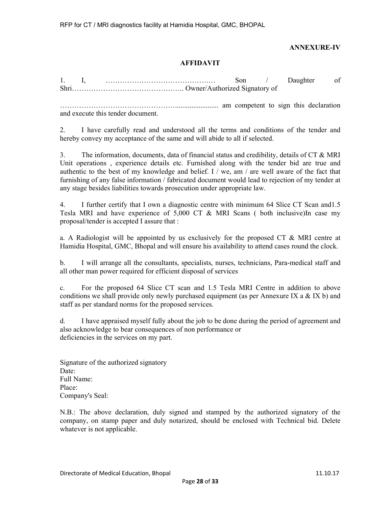### ANNEXURE-IV

#### AFFIDAVIT

1. I, …………………………………….… Son / Daughter of Shri……………………………………….. Owner/Authorized Signatory of

…………………………………………........................ am competent to sign this declaration and execute this tender document.

2. I have carefully read and understood all the terms and conditions of the tender and hereby convey my acceptance of the same and will abide to all if selected.

3. The information, documents, data of financial status and credibility, details of CT & MRI Unit operations , experience details etc. Furnished along with the tender bid are true and authentic to the best of my knowledge and belief. I / we, am / are well aware of the fact that furnishing of any false information / fabricated document would lead to rejection of my tender at any stage besides liabilities towards prosecution under appropriate law.

4. I further certify that I own a diagnostic centre with minimum 64 Slice CT Scan and1.5 Tesla MRI and have experience of 5,000 CT & MRI Scans ( both inclusive)In case my proposal/tender is accepted I assure that :

a. A Radiologist will be appointed by us exclusively for the proposed CT  $\&$  MRI centre at Hamidia Hospital, GMC, Bhopal and will ensure his availability to attend cases round the clock.

b. I will arrange all the consultants, specialists, nurses, technicians, Para-medical staff and all other man power required for efficient disposal of services

c. For the proposed 64 Slice CT scan and 1.5 Tesla MRI Centre in addition to above conditions we shall provide only newly purchased equipment (as per Annexure IX a  $\&$  IX b) and staff as per standard norms for the proposed services.

d. I have appraised myself fully about the job to be done during the period of agreement and also acknowledge to bear consequences of non performance or deficiencies in the services on my part.

Signature of the authorized signatory Date: Full Name: Place: Company's Seal:

N.B.: The above declaration, duly signed and stamped by the authorized signatory of the company, on stamp paper and duly notarized, should be enclosed with Technical bid. Delete whatever is not applicable.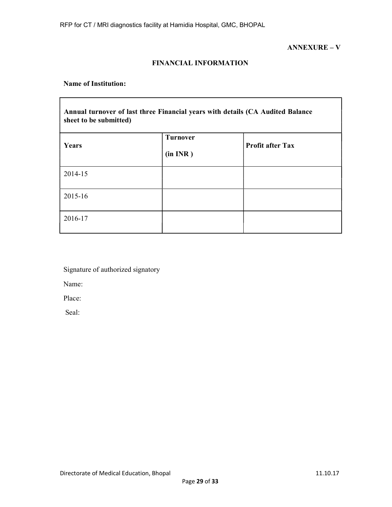# FINANCIAL INFORMATION

Name of Institution:

| Annual turnover of last three Financial years with details (CA Audited Balance<br>sheet to be submitted) |                             |                         |  |  |
|----------------------------------------------------------------------------------------------------------|-----------------------------|-------------------------|--|--|
| Years                                                                                                    | <b>Turnover</b><br>(in INR) | <b>Profit after Tax</b> |  |  |
| 2014-15                                                                                                  |                             |                         |  |  |
| 2015-16                                                                                                  |                             |                         |  |  |
| 2016-17                                                                                                  |                             |                         |  |  |

Signature of authorized signatory

Name:

Place:

Seal: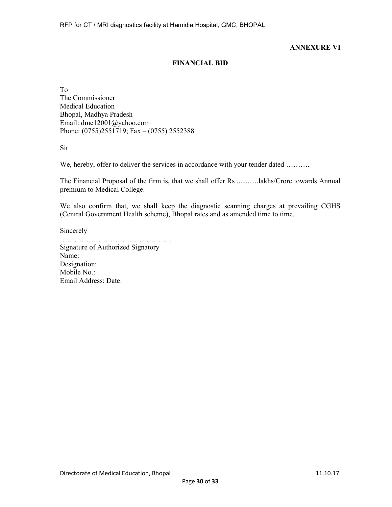# ANNEXURE VI

# FINANCIAL BID

To The Commissioner Medical Education Bhopal, Madhya Pradesh Email: dme12001@yahoo.com Phone: (0755)2551719; Fax – (0755) 2552388

Sir

We, hereby, offer to deliver the services in accordance with your tender dated .........

The Financial Proposal of the firm is, that we shall offer Rs ............lakhs/Crore towards Annual premium to Medical College.

We also confirm that, we shall keep the diagnostic scanning charges at prevailing CGHS (Central Government Health scheme), Bhopal rates and as amended time to time.

Sincerely

……………………………………….. Signature of Authorized Signatory Name: Designation: Mobile No.: Email Address: Date: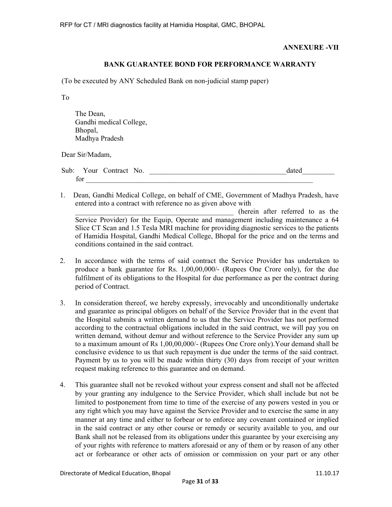#### BANK GUARANTEE BOND FOR PERFORMANCE WARRANTY

(To be executed by ANY Scheduled Bank on non-judicial stamp paper)

To

The Dean, Gandhi medical College, Bhopal, Madhya Pradesh

Dear Sir/Madam,

Sub: Your Contract No.  $\Box$  $\frac{1}{2}$  for  $\frac{1}{2}$  and  $\frac{1}{2}$  and  $\frac{1}{2}$  and  $\frac{1}{2}$  and  $\frac{1}{2}$  and  $\frac{1}{2}$  and  $\frac{1}{2}$  and  $\frac{1}{2}$  and  $\frac{1}{2}$  and  $\frac{1}{2}$  and  $\frac{1}{2}$  and  $\frac{1}{2}$  and  $\frac{1}{2}$  and  $\frac{1}{2}$  and  $\frac{1}{2}$  a

1. Dean, Gandhi Medical College, on behalf of CME, Government of Madhya Pradesh, have entered into a contract with reference no as given above with

\_\_\_\_\_\_\_\_\_\_\_\_\_\_\_\_\_\_\_\_\_\_\_\_\_\_\_\_\_\_\_\_\_\_\_\_\_\_\_\_\_\_\_\_ (herein after referred to as the Service Provider) for the Equip, Operate and management including maintenance a 64 Slice CT Scan and 1.5 Tesla MRI machine for providing diagnostic services to the patients of Hamidia Hospital, Gandhi Medical College, Bhopal for the price and on the terms and conditions contained in the said contract.

- 2. In accordance with the terms of said contract the Service Provider has undertaken to produce a bank guarantee for Rs. 1,00,00,000/- (Rupees One Crore only), for the due fulfilment of its obligations to the Hospital for due performance as per the contract during period of Contract.
- 3. In consideration thereof, we hereby expressly, irrevocably and unconditionally undertake and guarantee as principal obligors on behalf of the Service Provider that in the event that the Hospital submits a written demand to us that the Service Provider has not performed according to the contractual obligations included in the said contract, we will pay you on written demand, without demur and without reference to the Service Provider any sum up to a maximum amount of Rs 1,00,00,000/- (Rupees One Crore only).Your demand shall be conclusive evidence to us that such repayment is due under the terms of the said contract. Payment by us to you will be made within thirty (30) days from receipt of your written request making reference to this guarantee and on demand.
- 4. This guarantee shall not be revoked without your express consent and shall not be affected by your granting any indulgence to the Service Provider, which shall include but not be limited to postponement from time to time of the exercise of any powers vested in you or any right which you may have against the Service Provider and to exercise the same in any manner at any time and either to forbear or to enforce any covenant contained or implied in the said contract or any other course or remedy or security available to you, and our Bank shall not be released from its obligations under this guarantee by your exercising any of your rights with reference to matters aforesaid or any of them or by reason of any other act or forbearance or other acts of omission or commission on your part or any other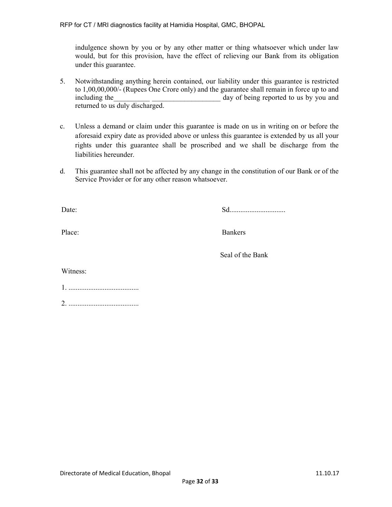indulgence shown by you or by any other matter or thing whatsoever which under law would, but for this provision, have the effect of relieving our Bank from its obligation under this guarantee.

- 5. Notwithstanding anything herein contained, our liability under this guarantee is restricted to 1,00,00,000/- (Rupees One Crore only) and the guarantee shall remain in force up to and including the day of being reported to us by you and returned to us duly discharged.
- c. Unless a demand or claim under this guarantee is made on us in writing on or before the aforesaid expiry date as provided above or unless this guarantee is extended by us all your rights under this guarantee shall be proscribed and we shall be discharge from the liabilities hereunder.
- d. This guarantee shall not be affected by any change in the constitution of our Bank or of the Service Provider or for any other reason whatsoever.

| Date: |  |
|-------|--|

Date: Sd...............................

Place: Bankers

Seal of the Bank

Witness:

1. ....................................... 2. .......................................